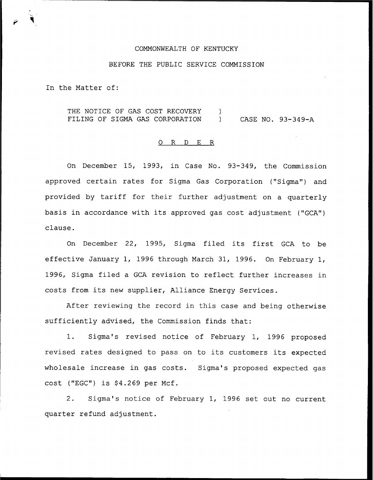## COMMONWEALTH OF KENTUCKY

## BEFORE THE PUBLIC SERVICE COMMISSION

In the Matter of:

THE NOTICE OF GAS COST RECOVERY )<br>FILING OF SIGMA GAS CORPORATION ) CASE NO. 93-349-A FILING OF SIGMA GAS CORPORATION

## O R D E R

On December 15, 1993, in Case No. 93-349, the Commission approved certain rates for Sigma Gas Corporation ("Sigma") and provided by tariff for their further adjustment on <sup>a</sup> quarterly basis in accordance with its approved gas cost adjustment {"GCA") clause.

On December 22, 1995, Sigma filed its first GCA to be effective January 1, 1996 through March 31, 1996. On February 1, 1996, Sigma filed a GCA revision to reflect further increases in costs from its new supplier, Alliance Energy Services.

After reviewing the record in this case and being otherwise sufficiently advised, the Commission finds that:

1. Sigma's revised notice of February 1, 1996 proposed revised rates designed to pass on to its customers its expected wholesale increase in gas costs. Sigma's proposed expected gas  $cost$  ("EGC") is  $$4.269$  per Mcf.

2. Sigma's notice of February 1, 1996 set out no current quarter refund adjustment.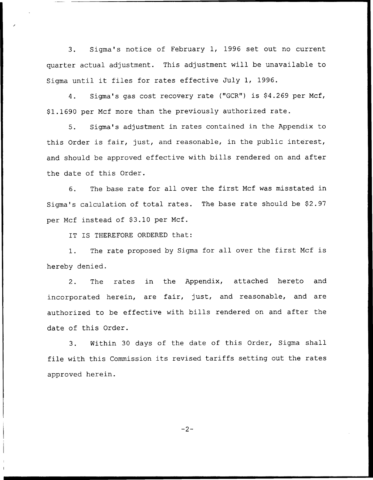3. Sigma's notice of February 1, 1996 set out no current quarter actual adjustment. This adjustment will be unavailable to Sigma until it files for rates effective July 1, 1996.

4. Sigma's gas cost recovery rate ("GCR") is \$4.269 per Mcf, \$1.1690 per Mcf more than the previously authorized rate.

5. Sigma's adjustment in rates contained in the Appendix to this Order is fair, just, and reasonable, in the public interest, and should be approved effective with bills rendered on and after the date of this Order.

6. The base rate for all over the first Mcf was misstated in Sigma's calculation of total rates. The base rate should be \$2.97 per Mcf instead of \$3.10 per Mcf.

IT IS THEREFORE ORDERED that:

1. The rate proposed by Sigma for all over the first Mcf is hereby denied.

2. The rates in the Appendix, attached hereto and incorporated herein, are fair, just, and reasonable, and are authorized to be effective with bills rendered on and after the date of this Order.

3. Within 30 days of the date of this Order, Sigma shall file with this Commission its revised tariffs setting out the rates approved herein.

 $-2-$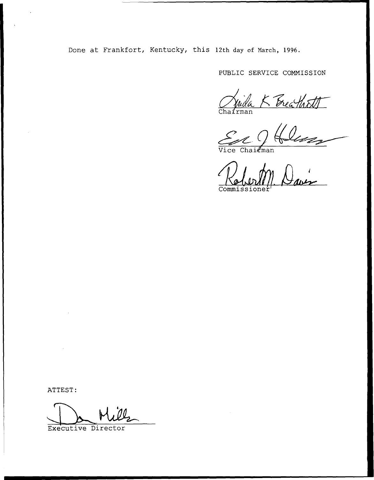Done at Frankfort, Kentucky, this 12th day of March, 1996.

PUBLIC SERVICE COMNISSIGN

Cha<mark>ír</mark>ma

Vice Chairma

Commissionei

ATTEST:

Executive Director